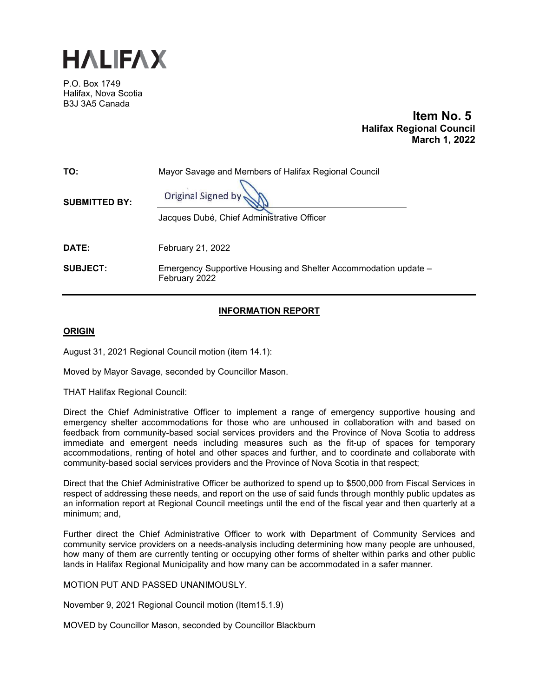

P.O. Box 1749 Halifax, Nova Scotia B3J 3A5 Canada

> **Item No. 5 Halifax Regional Council March 1, 2022**

| TO:                  | Mayor Savage and Members of Halifax Regional Council                             |
|----------------------|----------------------------------------------------------------------------------|
| <b>SUBMITTED BY:</b> | Original Signed by<br>Jacques Dubé, Chief Administrative Officer                 |
| DATE:                | February 21, 2022                                                                |
| <b>SUBJECT:</b>      | Emergency Supportive Housing and Shelter Accommodation update -<br>February 2022 |

# **INFORMATION REPORT**

## **ORIGIN**

August 31, 2021 Regional Council motion (item 14.1):

Moved by Mayor Savage, seconded by Councillor Mason.

THAT Halifax Regional Council:

Direct the Chief Administrative Officer to implement a range of emergency supportive housing and emergency shelter accommodations for those who are unhoused in collaboration with and based on feedback from community-based social services providers and the Province of Nova Scotia to address immediate and emergent needs including measures such as the fit-up of spaces for temporary accommodations, renting of hotel and other spaces and further, and to coordinate and collaborate with community-based social services providers and the Province of Nova Scotia in that respect;

Direct that the Chief Administrative Officer be authorized to spend up to \$500,000 from Fiscal Services in respect of addressing these needs, and report on the use of said funds through monthly public updates as an information report at Regional Council meetings until the end of the fiscal year and then quarterly at a minimum; and,

Further direct the Chief Administrative Officer to work with Department of Community Services and community service providers on a needs-analysis including determining how many people are unhoused, how many of them are currently tenting or occupying other forms of shelter within parks and other public lands in Halifax Regional Municipality and how many can be accommodated in a safer manner.

MOTION PUT AND PASSED UNANIMOUSLY.

November 9, 2021 Regional Council motion (Item15.1.9)

MOVED by Councillor Mason, seconded by Councillor Blackburn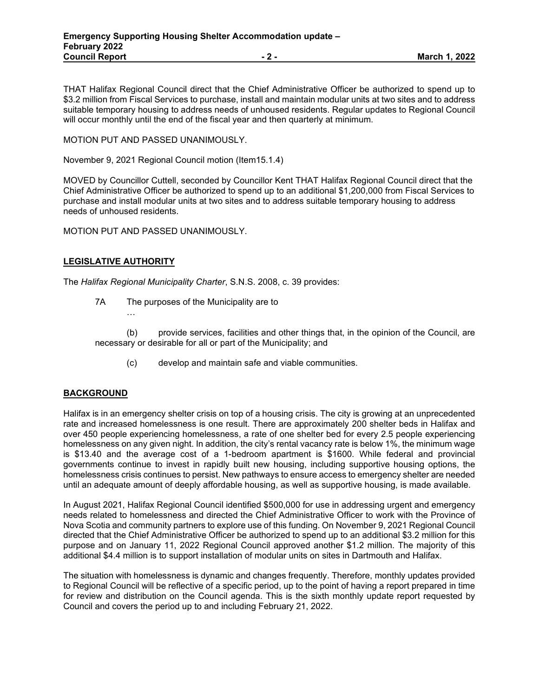THAT Halifax Regional Council direct that the Chief Administrative Officer be authorized to spend up to \$3.2 million from Fiscal Services to purchase, install and maintain modular units at two sites and to address suitable temporary housing to address needs of unhoused residents. Regular updates to Regional Council will occur monthly until the end of the fiscal year and then quarterly at minimum.

## MOTION PUT AND PASSED UNANIMOUSLY.

November 9, 2021 Regional Council motion (Item15.1.4)

MOVED by Councillor Cuttell, seconded by Councillor Kent THAT Halifax Regional Council direct that the Chief Administrative Officer be authorized to spend up to an additional \$1,200,000 from Fiscal Services to purchase and install modular units at two sites and to address suitable temporary housing to address needs of unhoused residents.

MOTION PUT AND PASSED UNANIMOUSLY.

## **LEGISLATIVE AUTHORITY**

The *Halifax Regional Municipality Charter*, S.N.S. 2008, c. 39 provides:

- 7A The purposes of the Municipality are to
	- …

(b) provide services, facilities and other things that, in the opinion of the Council, are necessary or desirable for all or part of the Municipality; and

(c) develop and maintain safe and viable communities.

## **BACKGROUND**

Halifax is in an emergency shelter crisis on top of a housing crisis. The city is growing at an unprecedented rate and increased homelessness is one result. There are approximately 200 shelter beds in Halifax and over 450 people experiencing homelessness, a rate of one shelter bed for every 2.5 people experiencing homelessness on any given night. In addition, the city's rental vacancy rate is below 1%, the minimum wage is \$13.40 and the average cost of a 1-bedroom apartment is \$1600. While federal and provincial governments continue to invest in rapidly built new housing, including supportive housing options, the homelessness crisis continues to persist. New pathways to ensure access to emergency shelter are needed until an adequate amount of deeply affordable housing, as well as supportive housing, is made available.

In August 2021, Halifax Regional Council identified \$500,000 for use in addressing urgent and emergency needs related to homelessness and directed the Chief Administrative Officer to work with the Province of Nova Scotia and community partners to explore use of this funding. On November 9, 2021 Regional Council directed that the Chief Administrative Officer be authorized to spend up to an additional \$3.2 million for this purpose and on January 11, 2022 Regional Council approved another \$1.2 million. The majority of this additional \$4.4 million is to support installation of modular units on sites in Dartmouth and Halifax.

The situation with homelessness is dynamic and changes frequently. Therefore, monthly updates provided to Regional Council will be reflective of a specific period, up to the point of having a report prepared in time for review and distribution on the Council agenda. This is the sixth monthly update report requested by Council and covers the period up to and including February 21, 2022.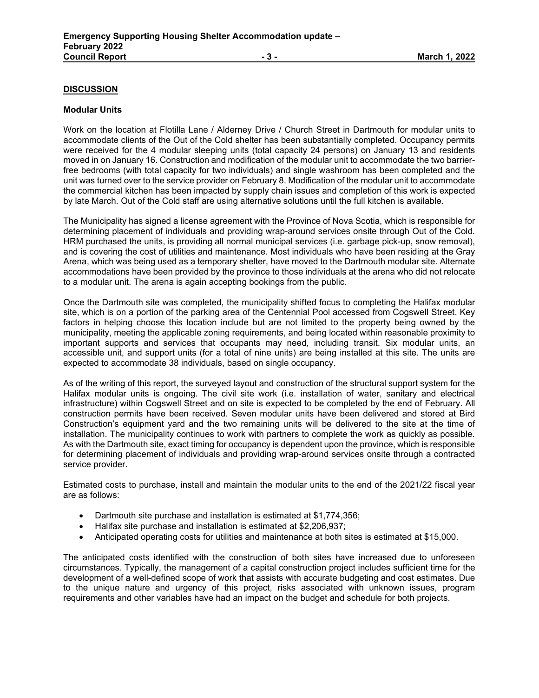## **DISCUSSION**

#### **Modular Units**

Work on the location at Flotilla Lane / Alderney Drive / Church Street in Dartmouth for modular units to accommodate clients of the Out of the Cold shelter has been substantially completed. Occupancy permits were received for the 4 modular sleeping units (total capacity 24 persons) on January 13 and residents moved in on January 16. Construction and modification of the modular unit to accommodate the two barrierfree bedrooms (with total capacity for two individuals) and single washroom has been completed and the unit was turned over to the service provider on February 8. Modification of the modular unit to accommodate the commercial kitchen has been impacted by supply chain issues and completion of this work is expected by late March. Out of the Cold staff are using alternative solutions until the full kitchen is available.

The Municipality has signed a license agreement with the Province of Nova Scotia, which is responsible for determining placement of individuals and providing wrap-around services onsite through Out of the Cold. HRM purchased the units, is providing all normal municipal services (i.e. garbage pick-up, snow removal), and is covering the cost of utilities and maintenance. Most individuals who have been residing at the Gray Arena, which was being used as a temporary shelter, have moved to the Dartmouth modular site. Alternate accommodations have been provided by the province to those individuals at the arena who did not relocate to a modular unit. The arena is again accepting bookings from the public.

Once the Dartmouth site was completed, the municipality shifted focus to completing the Halifax modular site, which is on a portion of the parking area of the Centennial Pool accessed from Cogswell Street. Key factors in helping choose this location include but are not limited to the property being owned by the municipality, meeting the applicable zoning requirements, and being located within reasonable proximity to important supports and services that occupants may need, including transit. Six modular units, an accessible unit, and support units (for a total of nine units) are being installed at this site. The units are expected to accommodate 38 individuals, based on single occupancy.

As of the writing of this report, the surveyed layout and construction of the structural support system for the Halifax modular units is ongoing. The civil site work (i.e. installation of water, sanitary and electrical infrastructure) within Cogswell Street and on site is expected to be completed by the end of February. All construction permits have been received. Seven modular units have been delivered and stored at Bird Construction's equipment yard and the two remaining units will be delivered to the site at the time of installation. The municipality continues to work with partners to complete the work as quickly as possible. As with the Dartmouth site, exact timing for occupancy is dependent upon the province, which is responsible for determining placement of individuals and providing wrap-around services onsite through a contracted service provider.

Estimated costs to purchase, install and maintain the modular units to the end of the 2021/22 fiscal year are as follows:

- Dartmouth site purchase and installation is estimated at \$1,774,356;
- Halifax site purchase and installation is estimated at \$2,206,937;
- Anticipated operating costs for utilities and maintenance at both sites is estimated at \$15,000.

The anticipated costs identified with the construction of both sites have increased due to unforeseen circumstances. Typically, the management of a capital construction project includes sufficient time for the development of a well-defined scope of work that assists with accurate budgeting and cost estimates. Due to the unique nature and urgency of this project, risks associated with unknown issues, program requirements and other variables have had an impact on the budget and schedule for both projects.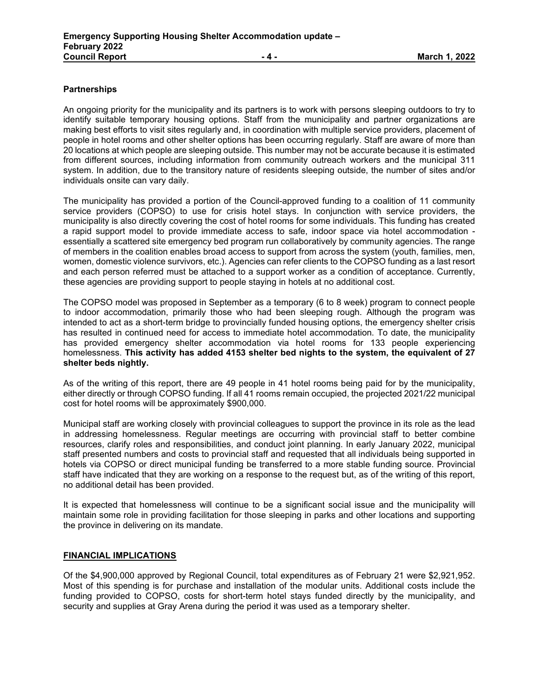## **Partnerships**

An ongoing priority for the municipality and its partners is to work with persons sleeping outdoors to try to identify suitable temporary housing options. Staff from the municipality and partner organizations are making best efforts to visit sites regularly and, in coordination with multiple service providers, placement of people in hotel rooms and other shelter options has been occurring regularly. Staff are aware of more than 20 locations at which people are sleeping outside. This number may not be accurate because it is estimated from different sources, including information from community outreach workers and the municipal 311 system. In addition, due to the transitory nature of residents sleeping outside, the number of sites and/or individuals onsite can vary daily.

The municipality has provided a portion of the Council-approved funding to a coalition of 11 community service providers (COPSO) to use for crisis hotel stays. In conjunction with service providers, the municipality is also directly covering the cost of hotel rooms for some individuals. This funding has created a rapid support model to provide immediate access to safe, indoor space via hotel accommodation essentially a scattered site emergency bed program run collaboratively by community agencies. The range of members in the coalition enables broad access to support from across the system (youth, families, men, women, domestic violence survivors, etc.). Agencies can refer clients to the COPSO funding as a last resort and each person referred must be attached to a support worker as a condition of acceptance. Currently, these agencies are providing support to people staying in hotels at no additional cost.

The COPSO model was proposed in September as a temporary (6 to 8 week) program to connect people to indoor accommodation, primarily those who had been sleeping rough. Although the program was intended to act as a short-term bridge to provincially funded housing options, the emergency shelter crisis has resulted in continued need for access to immediate hotel accommodation. To date, the municipality has provided emergency shelter accommodation via hotel rooms for 133 people experiencing homelessness. **This activity has added 4153 shelter bed nights to the system, the equivalent of 27 shelter beds nightly.**

As of the writing of this report, there are 49 people in 41 hotel rooms being paid for by the municipality, either directly or through COPSO funding. If all 41 rooms remain occupied, the projected 2021/22 municipal cost for hotel rooms will be approximately \$900,000.

Municipal staff are working closely with provincial colleagues to support the province in its role as the lead in addressing homelessness. Regular meetings are occurring with provincial staff to better combine resources, clarify roles and responsibilities, and conduct joint planning. In early January 2022, municipal staff presented numbers and costs to provincial staff and requested that all individuals being supported in hotels via COPSO or direct municipal funding be transferred to a more stable funding source. Provincial staff have indicated that they are working on a response to the request but, as of the writing of this report, no additional detail has been provided.

It is expected that homelessness will continue to be a significant social issue and the municipality will maintain some role in providing facilitation for those sleeping in parks and other locations and supporting the province in delivering on its mandate.

## **FINANCIAL IMPLICATIONS**

Of the \$4,900,000 approved by Regional Council, total expenditures as of February 21 were \$2,921,952. Most of this spending is for purchase and installation of the modular units. Additional costs include the funding provided to COPSO, costs for short-term hotel stays funded directly by the municipality, and security and supplies at Gray Arena during the period it was used as a temporary shelter.